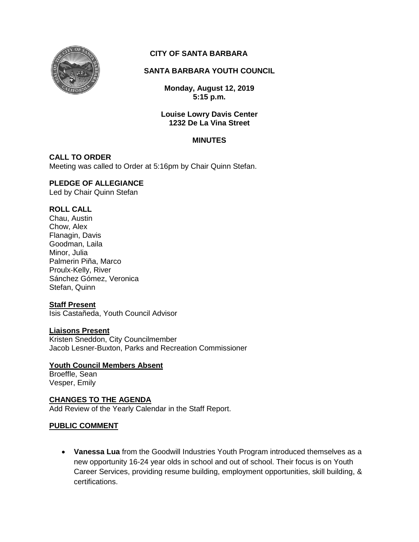

# **CITY OF SANTA BARBARA**

# **SANTA BARBARA YOUTH COUNCIL**

**Monday, August 12, 2019 5:15 p.m.**

### **Louise Lowry Davis Center 1232 De La Vina Street**

### **MINUTES**

# **CALL TO ORDER**

Meeting was called to Order at 5:16pm by Chair Quinn Stefan.

# **PLEDGE OF ALLEGIANCE**

Led by Chair Quinn Stefan

# **ROLL CALL**

Chau, Austin Chow, Alex Flanagin, Davis Goodman, Laila Minor, Julia Palmerin Piña, Marco Proulx-Kelly, River Sánchez Gómez, Veronica Stefan, Quinn

# **Staff Present**

Isis Castañeda, Youth Council Advisor

### **Liaisons Present**

Kristen Sneddon, City Councilmember Jacob Lesner-Buxton, Parks and Recreation Commissioner

### **Youth Council Members Absent**

Broeffle, Sean Vesper, Emily

### **CHANGES TO THE AGENDA**

Add Review of the Yearly Calendar in the Staff Report.

# **PUBLIC COMMENT**

 **Vanessa Lua** from the Goodwill Industries Youth Program introduced themselves as a new opportunity 16-24 year olds in school and out of school. Their focus is on Youth Career Services, providing resume building, employment opportunities, skill building, & certifications.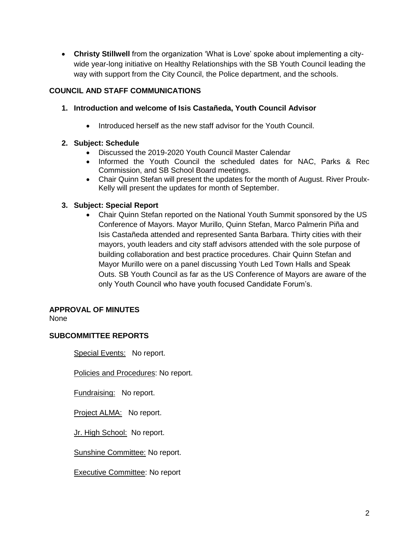**Christy Stillwell** from the organization 'What is Love' spoke about implementing a citywide year-long initiative on Healthy Relationships with the SB Youth Council leading the way with support from the City Council, the Police department, and the schools.

# **COUNCIL AND STAFF COMMUNICATIONS**

- **1. Introduction and welcome of Isis Castañeda, Youth Council Advisor**
	- Introduced herself as the new staff advisor for the Youth Council.

# **2. Subject: Schedule**

- Discussed the 2019-2020 Youth Council Master Calendar
- Informed the Youth Council the scheduled dates for NAC, Parks & Rec Commission, and SB School Board meetings.
- Chair Quinn Stefan will present the updates for the month of August. River Proulx-Kelly will present the updates for month of September.

# **3. Subject: Special Report**

 Chair Quinn Stefan reported on the National Youth Summit sponsored by the US Conference of Mayors. Mayor Murillo, Quinn Stefan, Marco Palmerin Piña and Isis Castañeda attended and represented Santa Barbara. Thirty cities with their mayors, youth leaders and city staff advisors attended with the sole purpose of building collaboration and best practice procedures. Chair Quinn Stefan and Mayor Murillo were on a panel discussing Youth Led Town Halls and Speak Outs. SB Youth Council as far as the US Conference of Mayors are aware of the only Youth Council who have youth focused Candidate Forum's.

# **APPROVAL OF MINUTES**

None

# **SUBCOMMITTEE REPORTS**

Special Events: No report.

Policies and Procedures: No report.

Fundraising: No report.

Project ALMA: No report.

Jr. High School: No report.

Sunshine Committee: No report.

Executive Committee: No report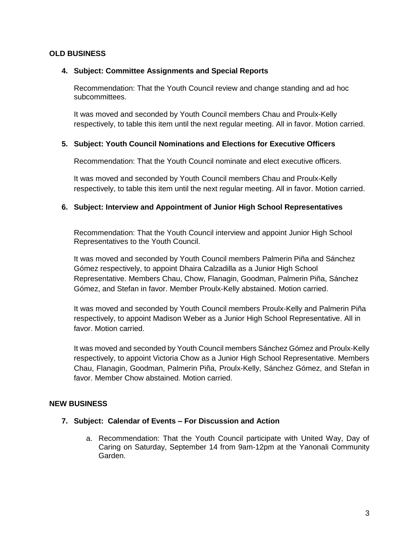### **OLD BUSINESS**

### **4. Subject: Committee Assignments and Special Reports**

Recommendation: That the Youth Council review and change standing and ad hoc subcommittees.

It was moved and seconded by Youth Council members Chau and Proulx-Kelly respectively, to table this item until the next regular meeting. All in favor. Motion carried.

# **5. Subject: Youth Council Nominations and Elections for Executive Officers**

Recommendation: That the Youth Council nominate and elect executive officers.

It was moved and seconded by Youth Council members Chau and Proulx-Kelly respectively, to table this item until the next regular meeting. All in favor. Motion carried.

# **6. Subject: Interview and Appointment of Junior High School Representatives**

Recommendation: That the Youth Council interview and appoint Junior High School Representatives to the Youth Council.

It was moved and seconded by Youth Council members Palmerin Piña and Sánchez Gómez respectively, to appoint Dhaira Calzadilla as a Junior High School Representative. Members Chau, Chow, Flanagin, Goodman, Palmerin Piña, Sánchez Gómez, and Stefan in favor. Member Proulx-Kelly abstained. Motion carried.

It was moved and seconded by Youth Council members Proulx-Kelly and Palmerin Piña respectively, to appoint Madison Weber as a Junior High School Representative. All in favor. Motion carried.

It was moved and seconded by Youth Council members Sánchez Gómez and Proulx-Kelly respectively, to appoint Victoria Chow as a Junior High School Representative. Members Chau, Flanagin, Goodman, Palmerin Piña, Proulx-Kelly, Sánchez Gómez, and Stefan in favor. Member Chow abstained. Motion carried.

# **NEW BUSINESS**

### **7. Subject: Calendar of Events – For Discussion and Action**

a. Recommendation: That the Youth Council participate with United Way, Day of Caring on Saturday, September 14 from 9am-12pm at the Yanonali Community Garden.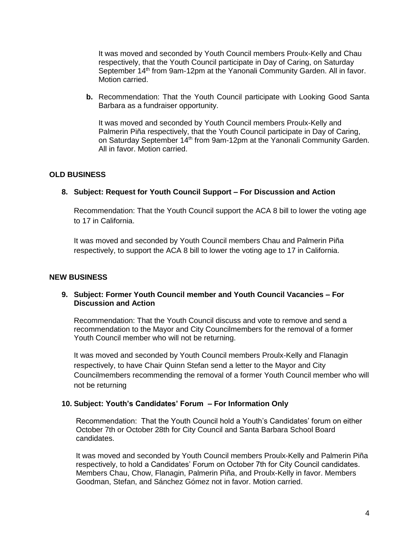It was moved and seconded by Youth Council members Proulx-Kelly and Chau respectively, that the Youth Council participate in Day of Caring, on Saturday September 14<sup>th</sup> from 9am-12pm at the Yanonali Community Garden. All in favor. Motion carried.

**b.** Recommendation: That the Youth Council participate with Looking Good Santa Barbara as a fundraiser opportunity.

It was moved and seconded by Youth Council members Proulx-Kelly and Palmerin Piña respectively, that the Youth Council participate in Day of Caring, on Saturday September 14<sup>th</sup> from 9am-12pm at the Yanonali Community Garden. All in favor. Motion carried.

### **OLD BUSINESS**

### **8. Subject: Request for Youth Council Support – For Discussion and Action**

Recommendation: That the Youth Council support the ACA 8 bill to lower the voting age to 17 in California.

It was moved and seconded by Youth Council members Chau and Palmerin Piña respectively, to support the ACA 8 bill to lower the voting age to 17 in California.

### **NEW BUSINESS**

### **9. Subject: Former Youth Council member and Youth Council Vacancies – For Discussion and Action**

Recommendation: That the Youth Council discuss and vote to remove and send a recommendation to the Mayor and City Councilmembers for the removal of a former Youth Council member who will not be returning.

It was moved and seconded by Youth Council members Proulx-Kelly and Flanagin respectively, to have Chair Quinn Stefan send a letter to the Mayor and City Councilmembers recommending the removal of a former Youth Council member who will not be returning

### **10. Subject: Youth's Candidates' Forum – For Information Only**

Recommendation: That the Youth Council hold a Youth's Candidates' forum on either October 7th or October 28th for City Council and Santa Barbara School Board candidates.

It was moved and seconded by Youth Council members Proulx-Kelly and Palmerin Piña respectively, to hold a Candidates' Forum on October 7th for City Council candidates. Members Chau, Chow, Flanagin, Palmerin Piña, and Proulx-Kelly in favor. Members Goodman, Stefan, and Sánchez Gómez not in favor. Motion carried.